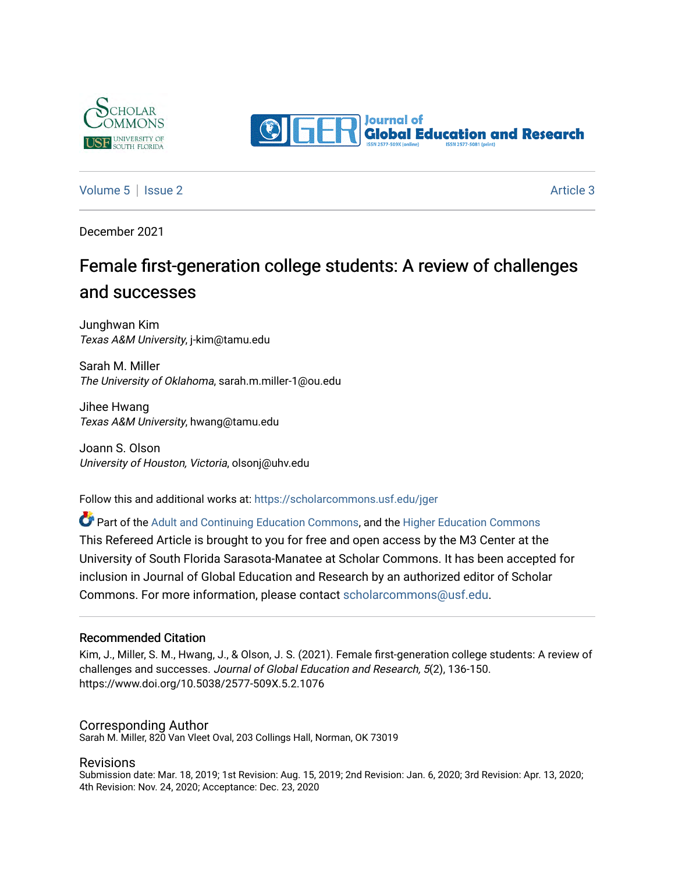



#### [Volume 5](https://scholarcommons.usf.edu/jger/vol5) | [Issue 2](https://scholarcommons.usf.edu/jger/vol5/iss2) Article 3

December 2021

# Female first-generation college students: A review of challenges and successes

Junghwan Kim Texas A&M University, j-kim@tamu.edu

Sarah M. Miller The University of Oklahoma, sarah.m.miller-1@ou.edu

Jihee Hwang Texas A&M University, hwang@tamu.edu

Joann S. Olson University of Houston, Victoria, olsonj@uhv.edu

Follow this and additional works at: [https://scholarcommons.usf.edu/jger](https://scholarcommons.usf.edu/jger?utm_source=scholarcommons.usf.edu%2Fjger%2Fvol5%2Fiss2%2F3&utm_medium=PDF&utm_campaign=PDFCoverPages) 

Part of the [Adult and Continuing Education Commons,](http://network.bepress.com/hgg/discipline/1375?utm_source=scholarcommons.usf.edu%2Fjger%2Fvol5%2Fiss2%2F3&utm_medium=PDF&utm_campaign=PDFCoverPages) and the [Higher Education Commons](http://network.bepress.com/hgg/discipline/1245?utm_source=scholarcommons.usf.edu%2Fjger%2Fvol5%2Fiss2%2F3&utm_medium=PDF&utm_campaign=PDFCoverPages)

This Refereed Article is brought to you for free and open access by the M3 Center at the University of South Florida Sarasota-Manatee at Scholar Commons. It has been accepted for inclusion in Journal of Global Education and Research by an authorized editor of Scholar Commons. For more information, please contact [scholarcommons@usf.edu](mailto:scholarcommons@usf.edu).

#### Recommended Citation

Kim, J., Miller, S. M., Hwang, J., & Olson, J. S. (2021). Female first-generation college students: A review of challenges and successes. Journal of Global Education and Research, 5(2), 136-150. https://www.doi.org/10.5038/2577-509X.5.2.1076

#### Corresponding Author

Sarah M. Miller, 820 Van Vleet Oval, 203 Collings Hall, Norman, OK 73019

#### Revisions

Submission date: Mar. 18, 2019; 1st Revision: Aug. 15, 2019; 2nd Revision: Jan. 6, 2020; 3rd Revision: Apr. 13, 2020; 4th Revision: Nov. 24, 2020; Acceptance: Dec. 23, 2020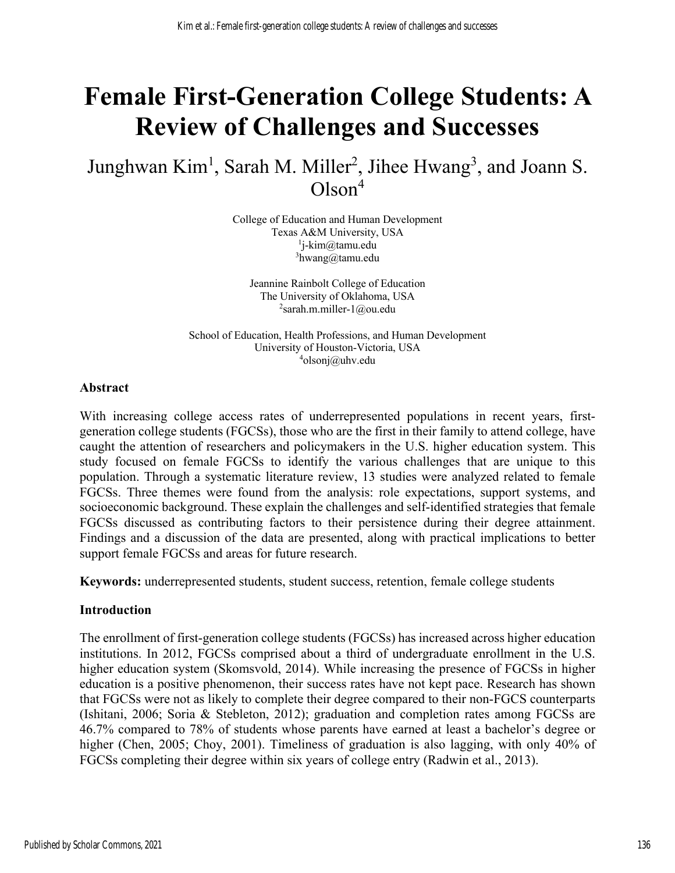# **Female First-Generation College Students: A Review of Challenges and Successes**

# Junghwan Kim<sup>1</sup>, Sarah M. Miller<sup>2</sup>, Jihee Hwang<sup>3</sup>, and Joann S.  $Olson<sup>4</sup>$

College of Education and Human Development Texas A&M University, USA 1 j-kim@tamu.edu <sup>3</sup>hwang@tamu.edu

Jeannine Rainbolt College of Education The University of Oklahoma, USA  $2$ sarah.m.miller-1@ou.edu

School of Education, Health Professions, and Human Development University of Houston-Victoria, USA 4 olsonj@uhv.edu

#### **Abstract**

With increasing college access rates of underrepresented populations in recent years, firstgeneration college students (FGCSs), those who are the first in their family to attend college, have caught the attention of researchers and policymakers in the U.S. higher education system. This study focused on female FGCSs to identify the various challenges that are unique to this population. Through a systematic literature review, 13 studies were analyzed related to female FGCSs. Three themes were found from the analysis: role expectations, support systems, and socioeconomic background. These explain the challenges and self-identified strategies that female FGCSs discussed as contributing factors to their persistence during their degree attainment. Findings and a discussion of the data are presented, along with practical implications to better support female FGCSs and areas for future research.

**Keywords:** underrepresented students, student success, retention, female college students

#### **Introduction**

The enrollment of first-generation college students (FGCSs) has increased across higher education institutions. In 2012, FGCSs comprised about a third of undergraduate enrollment in the U.S. higher education system (Skomsvold, 2014). While increasing the presence of FGCSs in higher education is a positive phenomenon, their success rates have not kept pace. Research has shown that FGCSs were not as likely to complete their degree compared to their non-FGCS counterparts (Ishitani, 2006; Soria & Stebleton, 2012); graduation and completion rates among FGCSs are 46.7% compared to 78% of students whose parents have earned at least a bachelor's degree or higher (Chen, 2005; Choy, 2001). Timeliness of graduation is also lagging, with only 40% of FGCSs completing their degree within six years of college entry (Radwin et al., 2013).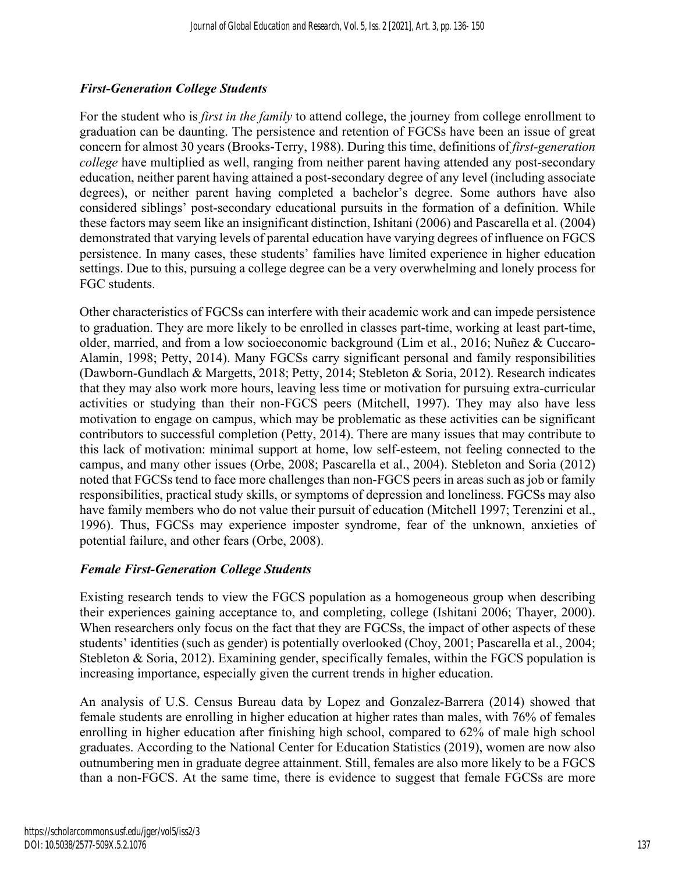## *First-Generation College Students*

For the student who is *first in the family* to attend college, the journey from college enrollment to graduation can be daunting. The persistence and retention of FGCSs have been an issue of great concern for almost 30 years (Brooks-Terry, 1988). During this time, definitions of *first-generation college* have multiplied as well, ranging from neither parent having attended any post-secondary education, neither parent having attained a post-secondary degree of any level (including associate degrees), or neither parent having completed a bachelor's degree. Some authors have also considered siblings' post-secondary educational pursuits in the formation of a definition. While these factors may seem like an insignificant distinction, Ishitani (2006) and Pascarella et al. (2004) demonstrated that varying levels of parental education have varying degrees of influence on FGCS persistence. In many cases, these students' families have limited experience in higher education settings. Due to this, pursuing a college degree can be a very overwhelming and lonely process for FGC students.

Other characteristics of FGCSs can interfere with their academic work and can impede persistence to graduation. They are more likely to be enrolled in classes part-time, working at least part-time, older, married, and from a low socioeconomic background (Lim et al., 2016; Nuñez & Cuccaro-Alamin, 1998; Petty, 2014). Many FGCSs carry significant personal and family responsibilities (Dawborn-Gundlach & Margetts, 2018; Petty, 2014; Stebleton & Soria, 2012). Research indicates that they may also work more hours, leaving less time or motivation for pursuing extra-curricular activities or studying than their non-FGCS peers (Mitchell, 1997). They may also have less motivation to engage on campus, which may be problematic as these activities can be significant contributors to successful completion (Petty, 2014). There are many issues that may contribute to this lack of motivation: minimal support at home, low self-esteem, not feeling connected to the campus, and many other issues (Orbe, 2008; Pascarella et al., 2004). Stebleton and Soria (2012) noted that FGCSs tend to face more challenges than non-FGCS peers in areas such as job or family responsibilities, practical study skills, or symptoms of depression and loneliness. FGCSs may also have family members who do not value their pursuit of education (Mitchell 1997; Terenzini et al., 1996). Thus, FGCSs may experience imposter syndrome, fear of the unknown, anxieties of potential failure, and other fears (Orbe, 2008).

## *Female First-Generation College Students*

Existing research tends to view the FGCS population as a homogeneous group when describing their experiences gaining acceptance to, and completing, college (Ishitani 2006; Thayer, 2000). When researchers only focus on the fact that they are FGCSs, the impact of other aspects of these students' identities (such as gender) is potentially overlooked (Choy, 2001; Pascarella et al., 2004; Stebleton & Soria, 2012). Examining gender, specifically females, within the FGCS population is increasing importance, especially given the current trends in higher education.

An analysis of U.S. Census Bureau data by Lopez and Gonzalez-Barrera (2014) showed that female students are enrolling in higher education at higher rates than males, with 76% of females enrolling in higher education after finishing high school, compared to 62% of male high school graduates. According to the National Center for Education Statistics (2019), women are now also outnumbering men in graduate degree attainment. Still, females are also more likely to be a FGCS than a non-FGCS. At the same time, there is evidence to suggest that female FGCSs are more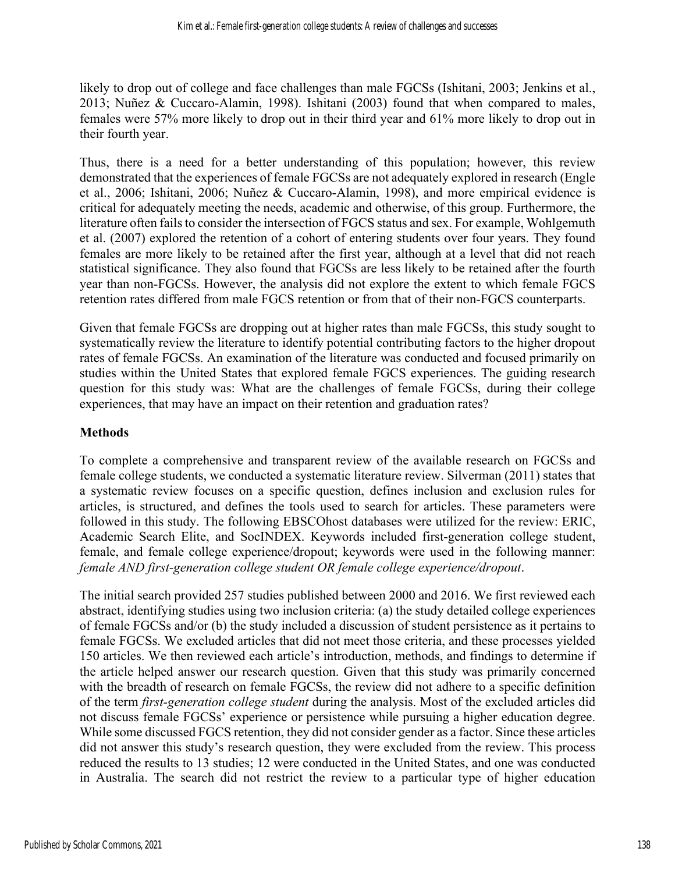likely to drop out of college and face challenges than male FGCSs (Ishitani, 2003; Jenkins et al., 2013; Nuñez & Cuccaro-Alamin, 1998). Ishitani (2003) found that when compared to males, females were 57% more likely to drop out in their third year and 61% more likely to drop out in their fourth year.

Thus, there is a need for a better understanding of this population; however, this review demonstrated that the experiences of female FGCSs are not adequately explored in research (Engle et al., 2006; Ishitani, 2006; Nuñez & Cuccaro-Alamin, 1998), and more empirical evidence is critical for adequately meeting the needs, academic and otherwise, of this group. Furthermore, the literature often fails to consider the intersection of FGCS status and sex. For example, Wohlgemuth et al. (2007) explored the retention of a cohort of entering students over four years. They found females are more likely to be retained after the first year, although at a level that did not reach statistical significance. They also found that FGCSs are less likely to be retained after the fourth year than non-FGCSs. However, the analysis did not explore the extent to which female FGCS retention rates differed from male FGCS retention or from that of their non-FGCS counterparts.

Given that female FGCSs are dropping out at higher rates than male FGCSs, this study sought to systematically review the literature to identify potential contributing factors to the higher dropout rates of female FGCSs. An examination of the literature was conducted and focused primarily on studies within the United States that explored female FGCS experiences. The guiding research question for this study was: What are the challenges of female FGCSs, during their college experiences, that may have an impact on their retention and graduation rates?

#### **Methods**

To complete a comprehensive and transparent review of the available research on FGCSs and female college students, we conducted a systematic literature review. Silverman (2011) states that a systematic review focuses on a specific question, defines inclusion and exclusion rules for articles, is structured, and defines the tools used to search for articles. These parameters were followed in this study. The following EBSCOhost databases were utilized for the review: ERIC, Academic Search Elite, and SocINDEX. Keywords included first-generation college student, female, and female college experience/dropout; keywords were used in the following manner: *female AND first-generation college student OR female college experience/dropout*.

The initial search provided 257 studies published between 2000 and 2016. We first reviewed each abstract, identifying studies using two inclusion criteria: (a) the study detailed college experiences of female FGCSs and/or (b) the study included a discussion of student persistence as it pertains to female FGCSs. We excluded articles that did not meet those criteria, and these processes yielded 150 articles. We then reviewed each article's introduction, methods, and findings to determine if the article helped answer our research question. Given that this study was primarily concerned with the breadth of research on female FGCSs, the review did not adhere to a specific definition of the term *first-generation college student* during the analysis. Most of the excluded articles did not discuss female FGCSs' experience or persistence while pursuing a higher education degree. While some discussed FGCS retention, they did not consider gender as a factor. Since these articles did not answer this study's research question, they were excluded from the review. This process reduced the results to 13 studies; 12 were conducted in the United States, and one was conducted in Australia. The search did not restrict the review to a particular type of higher education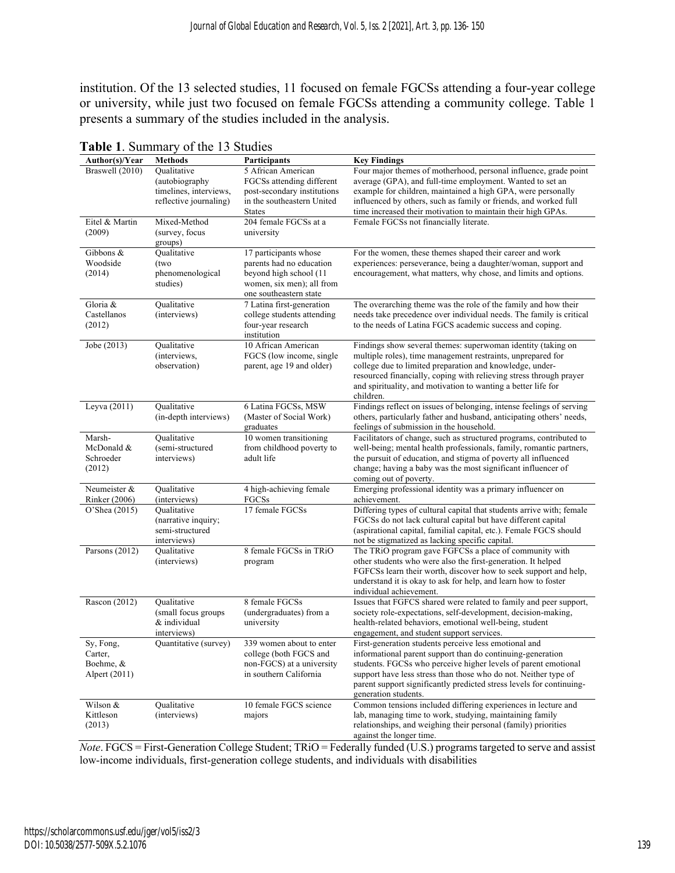institution. Of the 13 selected studies, 11 focused on female FGCSs attending a four-year college or university, while just two focused on female FGCSs attending a community college. Table 1 presents a summary of the studies included in the analysis.

| Author(s)/Year                | <b>Methods</b>                     | Participants                     | <b>Key Findings</b>                                                                                                                 |
|-------------------------------|------------------------------------|----------------------------------|-------------------------------------------------------------------------------------------------------------------------------------|
| Braswell (2010)               | Qualitative                        | 5 African American               | Four major themes of motherhood, personal influence, grade point                                                                    |
|                               | (autobiography                     | FGCSs attending different        | average (GPA), and full-time employment. Wanted to set an                                                                           |
|                               | timelines, interviews,             | post-secondary institutions      | example for children, maintained a high GPA, were personally                                                                        |
|                               | reflective journaling)             | in the southeastern United       | influenced by others, such as family or friends, and worked full                                                                    |
|                               |                                    | <b>States</b>                    | time increased their motivation to maintain their high GPAs.                                                                        |
| Eitel & Martin                | Mixed-Method                       | 204 female FGCSs at a            | Female FGCSs not financially literate.                                                                                              |
| (2009)                        | (survey, focus                     | university                       |                                                                                                                                     |
| Gibbons &                     | groups)<br>Qualitative             | 17 participants whose            | For the women, these themes shaped their career and work                                                                            |
| Woodside                      | (two                               | parents had no education         | experiences: perseverance, being a daughter/woman, support and                                                                      |
| (2014)                        | phenomenological                   | beyond high school (11           | encouragement, what matters, why chose, and limits and options.                                                                     |
|                               | studies)                           | women, six men); all from        |                                                                                                                                     |
|                               |                                    | one southeastern state           |                                                                                                                                     |
| Gloria &                      | Qualitative                        | 7 Latina first-generation        | The overarching theme was the role of the family and how their                                                                      |
| Castellanos                   | (interviews)                       | college students attending       | needs take precedence over individual needs. The family is critical                                                                 |
| (2012)                        |                                    | four-year research               | to the needs of Latina FGCS academic success and coping.                                                                            |
|                               |                                    | institution                      |                                                                                                                                     |
| Jobe (2013)                   | Qualitative                        | 10 African American              | Findings show several themes: superwoman identity (taking on                                                                        |
|                               | (interviews,                       | FGCS (low income, single         | multiple roles), time management restraints, unprepared for                                                                         |
|                               | observation)                       | parent, age 19 and older)        | college due to limited preparation and knowledge, under-                                                                            |
|                               |                                    |                                  | resourced financially, coping with relieving stress through prayer<br>and spirituality, and motivation to wanting a better life for |
|                               |                                    |                                  | children.                                                                                                                           |
| Leyva (2011)                  | Qualitative                        | 6 Latina FGCSs, MSW              | Findings reflect on issues of belonging, intense feelings of serving                                                                |
|                               | (in-depth interviews)              | (Master of Social Work)          | others, particularly father and husband, anticipating others' needs,                                                                |
|                               |                                    | graduates                        | feelings of submission in the household.                                                                                            |
| Marsh-                        | Oualitative                        | 10 women transitioning           | Facilitators of change, such as structured programs, contributed to                                                                 |
| McDonald &                    | (semi-structured                   | from childhood poverty to        | well-being; mental health professionals, family, romantic partners,                                                                 |
| Schroeder                     | interviews)                        | adult life                       | the pursuit of education, and stigma of poverty all influenced                                                                      |
| (2012)                        |                                    |                                  | change; having a baby was the most significant influencer of                                                                        |
|                               |                                    |                                  | coming out of poverty.                                                                                                              |
| Neumeister &<br>Rinker (2006) | Oualitative<br>(interviews)        | 4 high-achieving female<br>FGCSs | Emerging professional identity was a primary influencer on<br>achievement.                                                          |
| O'Shea (2015)                 | Oualitative                        | 17 female FGCSs                  | Differing types of cultural capital that students arrive with; female                                                               |
|                               | (narrative inquiry;                |                                  | FGCSs do not lack cultural capital but have different capital                                                                       |
|                               | semi-structured                    |                                  | (aspirational capital, familial capital, etc.). Female FGCS should                                                                  |
|                               | interviews)                        |                                  | not be stigmatized as lacking specific capital.                                                                                     |
| Parsons (2012)                | Qualitative                        | 8 female FGCSs in TRiO           | The TRiO program gave FGFCSs a place of community with                                                                              |
|                               | (interviews)                       | program                          | other students who were also the first-generation. It helped                                                                        |
|                               |                                    |                                  | FGFCSs learn their worth, discover how to seek support and help,                                                                    |
|                               |                                    |                                  | understand it is okay to ask for help, and learn how to foster                                                                      |
|                               |                                    |                                  | individual achievement.                                                                                                             |
| Rascon (2012)                 | Oualitative<br>(small focus groups | 8 female FGCSs                   | Issues that FGFCS shared were related to family and peer support,<br>society role-expectations, self-development, decision-making,  |
|                               | & individual                       | (undergraduates) from a          | health-related behaviors, emotional well-being, student                                                                             |
|                               | interviews)                        | university                       | engagement, and student support services.                                                                                           |
| Sy, Fong,                     | Quantitative (survey)              | 339 women about to enter         | First-generation students perceive less emotional and                                                                               |
| Carter,                       |                                    | college (both FGCS and           | informational parent support than do continuing-generation                                                                          |
| Boehme, &                     |                                    | non-FGCS) at a university        | students. FGCSs who perceive higher levels of parent emotional                                                                      |
| Alpert (2011)                 |                                    | in southern California           | support have less stress than those who do not. Neither type of                                                                     |
|                               |                                    |                                  | parent support significantly predicted stress levels for continuing-                                                                |
|                               |                                    |                                  | generation students.                                                                                                                |
| Wilson &                      | Qualitative                        | 10 female FGCS science           | Common tensions included differing experiences in lecture and                                                                       |
| Kittleson                     | (interviews)                       | majors                           | lab, managing time to work, studying, maintaining family                                                                            |
| (2013)                        |                                    |                                  | relationships, and weighing their personal (family) priorities<br>against the longer time.                                          |
|                               |                                    |                                  |                                                                                                                                     |

**Table 1**. Summary of the 13 Studies

*Note*. FGCS = First-Generation College Student; TRiO = Federally funded (U.S.) programs targeted to serve and assist low-income individuals, first-generation college students, and individuals with disabilities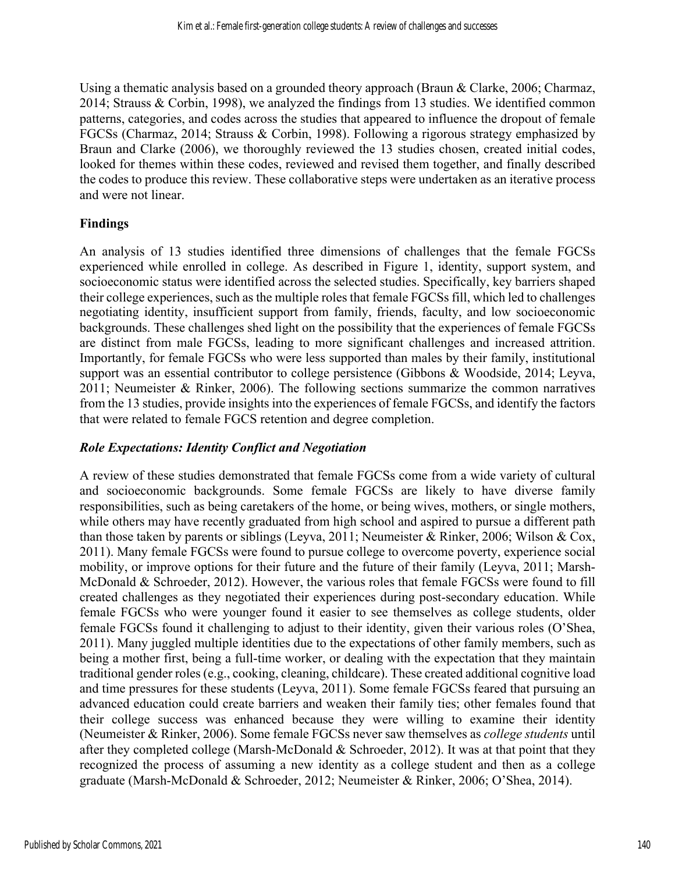Using a thematic analysis based on a grounded theory approach (Braun & Clarke, 2006; Charmaz, 2014; Strauss & Corbin, 1998), we analyzed the findings from 13 studies. We identified common patterns, categories, and codes across the studies that appeared to influence the dropout of female FGCSs (Charmaz, 2014; Strauss & Corbin, 1998). Following a rigorous strategy emphasized by Braun and Clarke (2006), we thoroughly reviewed the 13 studies chosen, created initial codes, looked for themes within these codes, reviewed and revised them together, and finally described the codes to produce this review. These collaborative steps were undertaken as an iterative process and were not linear.

#### **Findings**

An analysis of 13 studies identified three dimensions of challenges that the female FGCSs experienced while enrolled in college. As described in Figure 1, identity, support system, and socioeconomic status were identified across the selected studies. Specifically, key barriers shaped their college experiences, such as the multiple roles that female FGCSs fill, which led to challenges negotiating identity, insufficient support from family, friends, faculty, and low socioeconomic backgrounds. These challenges shed light on the possibility that the experiences of female FGCSs are distinct from male FGCSs, leading to more significant challenges and increased attrition. Importantly, for female FGCSs who were less supported than males by their family, institutional support was an essential contributor to college persistence (Gibbons & Woodside, 2014; Leyva, 2011; Neumeister & Rinker, 2006). The following sections summarize the common narratives from the 13 studies, provide insights into the experiences of female FGCSs, and identify the factors that were related to female FGCS retention and degree completion.

#### *Role Expectations: Identity Conflict and Negotiation*

A review of these studies demonstrated that female FGCSs come from a wide variety of cultural and socioeconomic backgrounds. Some female FGCSs are likely to have diverse family responsibilities, such as being caretakers of the home, or being wives, mothers, or single mothers, while others may have recently graduated from high school and aspired to pursue a different path than those taken by parents or siblings (Leyva, 2011; Neumeister & Rinker, 2006; Wilson & Cox, 2011). Many female FGCSs were found to pursue college to overcome poverty, experience social mobility, or improve options for their future and the future of their family (Leyva, 2011; Marsh-McDonald & Schroeder, 2012). However, the various roles that female FGCSs were found to fill created challenges as they negotiated their experiences during post-secondary education. While female FGCSs who were younger found it easier to see themselves as college students, older female FGCSs found it challenging to adjust to their identity, given their various roles (O'Shea, 2011). Many juggled multiple identities due to the expectations of other family members, such as being a mother first, being a full-time worker, or dealing with the expectation that they maintain traditional gender roles (e.g., cooking, cleaning, childcare). These created additional cognitive load and time pressures for these students (Leyva, 2011). Some female FGCSs feared that pursuing an advanced education could create barriers and weaken their family ties; other females found that their college success was enhanced because they were willing to examine their identity (Neumeister & Rinker, 2006). Some female FGCSs never saw themselves as *college students* until after they completed college (Marsh-McDonald & Schroeder, 2012). It was at that point that they recognized the process of assuming a new identity as a college student and then as a college graduate (Marsh-McDonald & Schroeder, 2012; Neumeister & Rinker, 2006; O'Shea, 2014).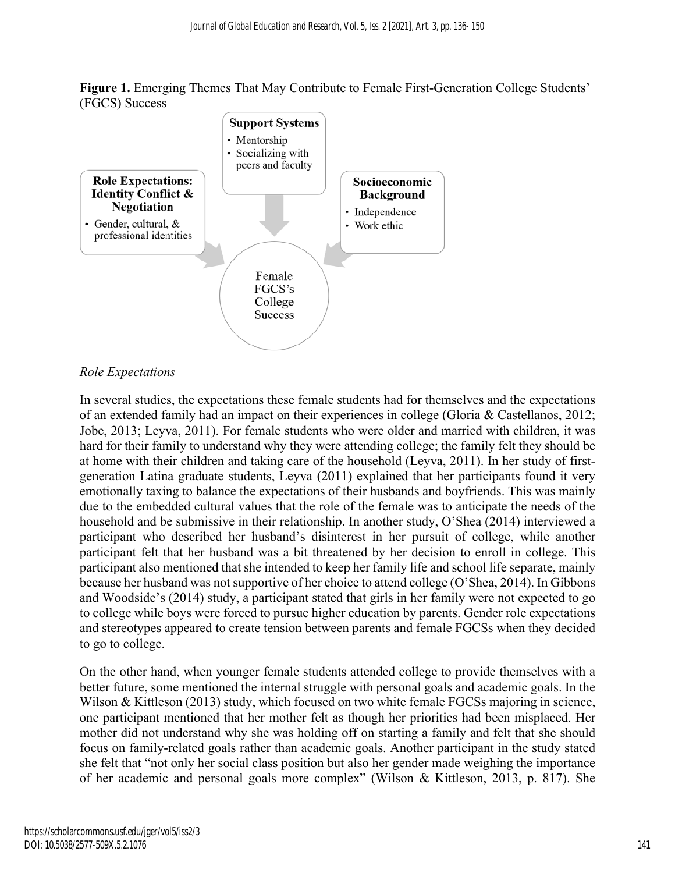**Figure 1.** Emerging Themes That May Contribute to Female First-Generation College Students' (FGCS) Success



#### *Role Expectations*

In several studies, the expectations these female students had for themselves and the expectations of an extended family had an impact on their experiences in college (Gloria & Castellanos, 2012; Jobe, 2013; Leyva, 2011). For female students who were older and married with children, it was hard for their family to understand why they were attending college; the family felt they should be at home with their children and taking care of the household (Leyva, 2011). In her study of firstgeneration Latina graduate students, Leyva (2011) explained that her participants found it very emotionally taxing to balance the expectations of their husbands and boyfriends. This was mainly due to the embedded cultural values that the role of the female was to anticipate the needs of the household and be submissive in their relationship. In another study, O'Shea (2014) interviewed a participant who described her husband's disinterest in her pursuit of college, while another participant felt that her husband was a bit threatened by her decision to enroll in college. This participant also mentioned that she intended to keep her family life and school life separate, mainly because her husband was not supportive of her choice to attend college (O'Shea, 2014). In Gibbons and Woodside's (2014) study, a participant stated that girls in her family were not expected to go to college while boys were forced to pursue higher education by parents. Gender role expectations and stereotypes appeared to create tension between parents and female FGCSs when they decided to go to college.

On the other hand, when younger female students attended college to provide themselves with a better future, some mentioned the internal struggle with personal goals and academic goals. In the Wilson & Kittleson (2013) study, which focused on two white female FGCSs majoring in science, one participant mentioned that her mother felt as though her priorities had been misplaced. Her mother did not understand why she was holding off on starting a family and felt that she should focus on family-related goals rather than academic goals. Another participant in the study stated she felt that "not only her social class position but also her gender made weighing the importance of her academic and personal goals more complex" (Wilson & Kittleson, 2013, p. 817). She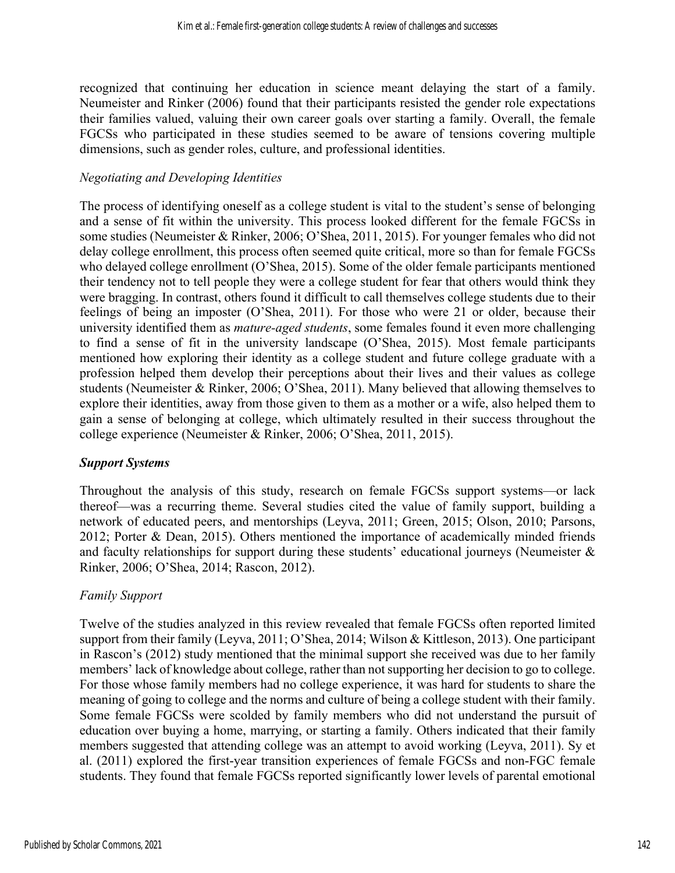recognized that continuing her education in science meant delaying the start of a family. Neumeister and Rinker (2006) found that their participants resisted the gender role expectations their families valued, valuing their own career goals over starting a family. Overall, the female FGCSs who participated in these studies seemed to be aware of tensions covering multiple dimensions, such as gender roles, culture, and professional identities.

#### *Negotiating and Developing Identities*

The process of identifying oneself as a college student is vital to the student's sense of belonging and a sense of fit within the university. This process looked different for the female FGCSs in some studies (Neumeister & Rinker, 2006; O'Shea, 2011, 2015). For younger females who did not delay college enrollment, this process often seemed quite critical, more so than for female FGCSs who delayed college enrollment (O'Shea, 2015). Some of the older female participants mentioned their tendency not to tell people they were a college student for fear that others would think they were bragging. In contrast, others found it difficult to call themselves college students due to their feelings of being an imposter (O'Shea, 2011). For those who were 21 or older, because their university identified them as *mature-aged students*, some females found it even more challenging to find a sense of fit in the university landscape (O'Shea, 2015). Most female participants mentioned how exploring their identity as a college student and future college graduate with a profession helped them develop their perceptions about their lives and their values as college students (Neumeister & Rinker, 2006; O'Shea, 2011). Many believed that allowing themselves to explore their identities, away from those given to them as a mother or a wife, also helped them to gain a sense of belonging at college, which ultimately resulted in their success throughout the college experience (Neumeister & Rinker, 2006; O'Shea, 2011, 2015).

#### *Support Systems*

Throughout the analysis of this study, research on female FGCSs support systems—or lack thereof—was a recurring theme. Several studies cited the value of family support, building a network of educated peers, and mentorships (Leyva, 2011; Green, 2015; Olson, 2010; Parsons, 2012; Porter & Dean, 2015). Others mentioned the importance of academically minded friends and faculty relationships for support during these students' educational journeys (Neumeister  $\&$ Rinker, 2006; O'Shea, 2014; Rascon, 2012).

#### *Family Support*

Twelve of the studies analyzed in this review revealed that female FGCSs often reported limited support from their family (Leyva, 2011; O'Shea, 2014; Wilson & Kittleson, 2013). One participant in Rascon's (2012) study mentioned that the minimal support she received was due to her family members' lack of knowledge about college, rather than not supporting her decision to go to college. For those whose family members had no college experience, it was hard for students to share the meaning of going to college and the norms and culture of being a college student with their family. Some female FGCSs were scolded by family members who did not understand the pursuit of education over buying a home, marrying, or starting a family. Others indicated that their family members suggested that attending college was an attempt to avoid working (Leyva, 2011). Sy et al. (2011) explored the first-year transition experiences of female FGCSs and non-FGC female students. They found that female FGCSs reported significantly lower levels of parental emotional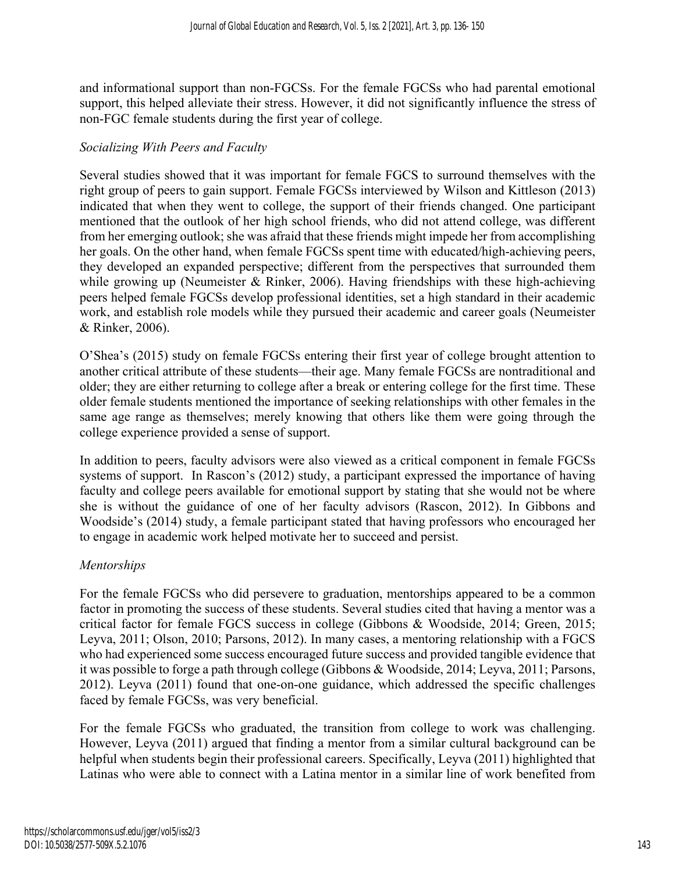and informational support than non-FGCSs. For the female FGCSs who had parental emotional support, this helped alleviate their stress. However, it did not significantly influence the stress of non-FGC female students during the first year of college.

#### *Socializing With Peers and Faculty*

Several studies showed that it was important for female FGCS to surround themselves with the right group of peers to gain support. Female FGCSs interviewed by Wilson and Kittleson (2013) indicated that when they went to college, the support of their friends changed. One participant mentioned that the outlook of her high school friends, who did not attend college, was different from her emerging outlook; she was afraid that these friends might impede her from accomplishing her goals. On the other hand, when female FGCSs spent time with educated/high-achieving peers, they developed an expanded perspective; different from the perspectives that surrounded them while growing up (Neumeister & Rinker, 2006). Having friendships with these high-achieving peers helped female FGCSs develop professional identities, set a high standard in their academic work, and establish role models while they pursued their academic and career goals (Neumeister & Rinker, 2006).

O'Shea's (2015) study on female FGCSs entering their first year of college brought attention to another critical attribute of these students—their age. Many female FGCSs are nontraditional and older; they are either returning to college after a break or entering college for the first time. These older female students mentioned the importance of seeking relationships with other females in the same age range as themselves; merely knowing that others like them were going through the college experience provided a sense of support.

In addition to peers, faculty advisors were also viewed as a critical component in female FGCSs systems of support. In Rascon's (2012) study, a participant expressed the importance of having faculty and college peers available for emotional support by stating that she would not be where she is without the guidance of one of her faculty advisors (Rascon, 2012). In Gibbons and Woodside's (2014) study, a female participant stated that having professors who encouraged her to engage in academic work helped motivate her to succeed and persist.

#### *Mentorships*

For the female FGCSs who did persevere to graduation, mentorships appeared to be a common factor in promoting the success of these students. Several studies cited that having a mentor was a critical factor for female FGCS success in college (Gibbons & Woodside, 2014; Green, 2015; Leyva, 2011; Olson, 2010; Parsons, 2012). In many cases, a mentoring relationship with a FGCS who had experienced some success encouraged future success and provided tangible evidence that it was possible to forge a path through college (Gibbons & Woodside, 2014; Leyva, 2011; Parsons, 2012). Leyva (2011) found that one-on-one guidance, which addressed the specific challenges faced by female FGCSs, was very beneficial.

For the female FGCSs who graduated, the transition from college to work was challenging. However, Leyva (2011) argued that finding a mentor from a similar cultural background can be helpful when students begin their professional careers. Specifically, Leyva (2011) highlighted that Latinas who were able to connect with a Latina mentor in a similar line of work benefited from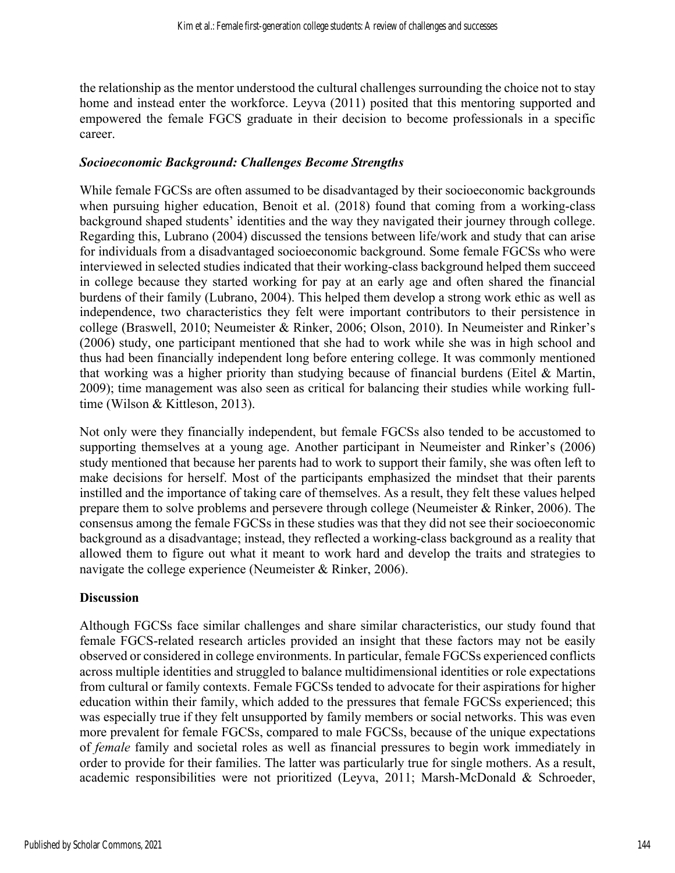the relationship as the mentor understood the cultural challenges surrounding the choice not to stay home and instead enter the workforce. Leyva (2011) posited that this mentoring supported and empowered the female FGCS graduate in their decision to become professionals in a specific career.

#### *Socioeconomic Background: Challenges Become Strengths*

While female FGCSs are often assumed to be disadvantaged by their socioeconomic backgrounds when pursuing higher education, Benoit et al. (2018) found that coming from a working-class background shaped students' identities and the way they navigated their journey through college. Regarding this, Lubrano (2004) discussed the tensions between life/work and study that can arise for individuals from a disadvantaged socioeconomic background. Some female FGCSs who were interviewed in selected studies indicated that their working-class background helped them succeed in college because they started working for pay at an early age and often shared the financial burdens of their family (Lubrano, 2004). This helped them develop a strong work ethic as well as independence, two characteristics they felt were important contributors to their persistence in college (Braswell, 2010; Neumeister & Rinker, 2006; Olson, 2010). In Neumeister and Rinker's (2006) study, one participant mentioned that she had to work while she was in high school and thus had been financially independent long before entering college. It was commonly mentioned that working was a higher priority than studying because of financial burdens (Eitel & Martin, 2009); time management was also seen as critical for balancing their studies while working fulltime (Wilson & Kittleson, 2013).

Not only were they financially independent, but female FGCSs also tended to be accustomed to supporting themselves at a young age. Another participant in Neumeister and Rinker's (2006) study mentioned that because her parents had to work to support their family, she was often left to make decisions for herself. Most of the participants emphasized the mindset that their parents instilled and the importance of taking care of themselves. As a result, they felt these values helped prepare them to solve problems and persevere through college (Neumeister & Rinker, 2006). The consensus among the female FGCSs in these studies was that they did not see their socioeconomic background as a disadvantage; instead, they reflected a working-class background as a reality that allowed them to figure out what it meant to work hard and develop the traits and strategies to navigate the college experience (Neumeister & Rinker, 2006).

#### **Discussion**

Although FGCSs face similar challenges and share similar characteristics, our study found that female FGCS-related research articles provided an insight that these factors may not be easily observed or considered in college environments. In particular, female FGCSs experienced conflicts across multiple identities and struggled to balance multidimensional identities or role expectations from cultural or family contexts. Female FGCSs tended to advocate for their aspirations for higher education within their family, which added to the pressures that female FGCSs experienced; this was especially true if they felt unsupported by family members or social networks. This was even more prevalent for female FGCSs, compared to male FGCSs, because of the unique expectations of *female* family and societal roles as well as financial pressures to begin work immediately in order to provide for their families. The latter was particularly true for single mothers. As a result, academic responsibilities were not prioritized (Leyva, 2011; Marsh-McDonald & Schroeder,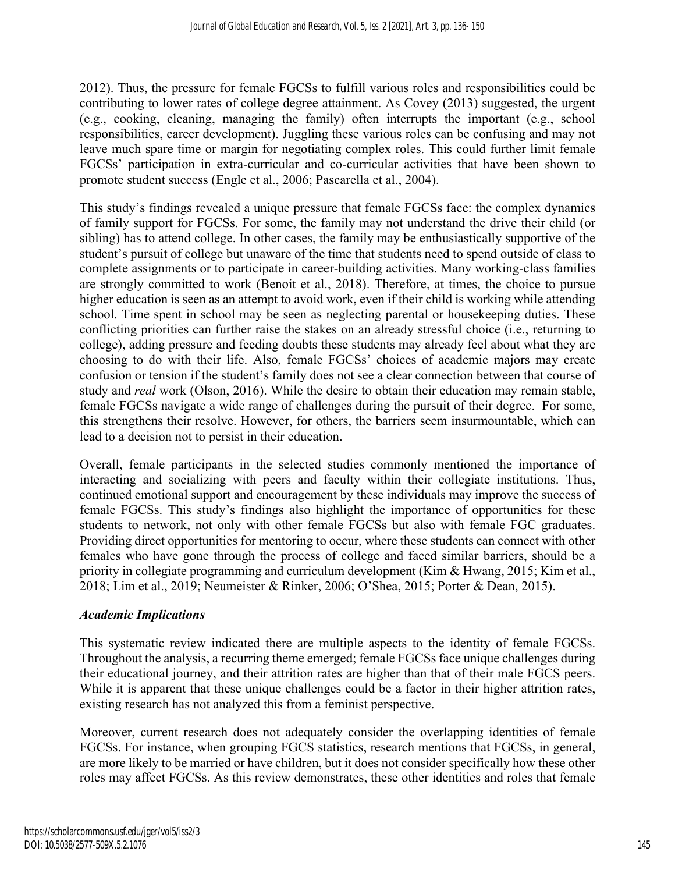2012). Thus, the pressure for female FGCSs to fulfill various roles and responsibilities could be contributing to lower rates of college degree attainment. As Covey (2013) suggested, the urgent (e.g., cooking, cleaning, managing the family) often interrupts the important (e.g., school responsibilities, career development). Juggling these various roles can be confusing and may not leave much spare time or margin for negotiating complex roles. This could further limit female FGCSs' participation in extra-curricular and co-curricular activities that have been shown to promote student success (Engle et al., 2006; Pascarella et al., 2004).

This study's findings revealed a unique pressure that female FGCSs face: the complex dynamics of family support for FGCSs. For some, the family may not understand the drive their child (or sibling) has to attend college. In other cases, the family may be enthusiastically supportive of the student's pursuit of college but unaware of the time that students need to spend outside of class to complete assignments or to participate in career-building activities. Many working-class families are strongly committed to work (Benoit et al., 2018). Therefore, at times, the choice to pursue higher education is seen as an attempt to avoid work, even if their child is working while attending school. Time spent in school may be seen as neglecting parental or housekeeping duties. These conflicting priorities can further raise the stakes on an already stressful choice (i.e., returning to college), adding pressure and feeding doubts these students may already feel about what they are choosing to do with their life. Also, female FGCSs' choices of academic majors may create confusion or tension if the student's family does not see a clear connection between that course of study and *real* work (Olson, 2016). While the desire to obtain their education may remain stable, female FGCSs navigate a wide range of challenges during the pursuit of their degree. For some, this strengthens their resolve. However, for others, the barriers seem insurmountable, which can lead to a decision not to persist in their education.

Overall, female participants in the selected studies commonly mentioned the importance of interacting and socializing with peers and faculty within their collegiate institutions. Thus, continued emotional support and encouragement by these individuals may improve the success of female FGCSs. This study's findings also highlight the importance of opportunities for these students to network, not only with other female FGCSs but also with female FGC graduates. Providing direct opportunities for mentoring to occur, where these students can connect with other females who have gone through the process of college and faced similar barriers, should be a priority in collegiate programming and curriculum development (Kim & Hwang, 2015; Kim et al., 2018; Lim et al., 2019; Neumeister & Rinker, 2006; O'Shea, 2015; Porter & Dean, 2015).

### *Academic Implications*

This systematic review indicated there are multiple aspects to the identity of female FGCSs. Throughout the analysis, a recurring theme emerged; female FGCSs face unique challenges during their educational journey, and their attrition rates are higher than that of their male FGCS peers. While it is apparent that these unique challenges could be a factor in their higher attrition rates, existing research has not analyzed this from a feminist perspective.

Moreover, current research does not adequately consider the overlapping identities of female FGCSs. For instance, when grouping FGCS statistics, research mentions that FGCSs, in general, are more likely to be married or have children, but it does not consider specifically how these other roles may affect FGCSs. As this review demonstrates, these other identities and roles that female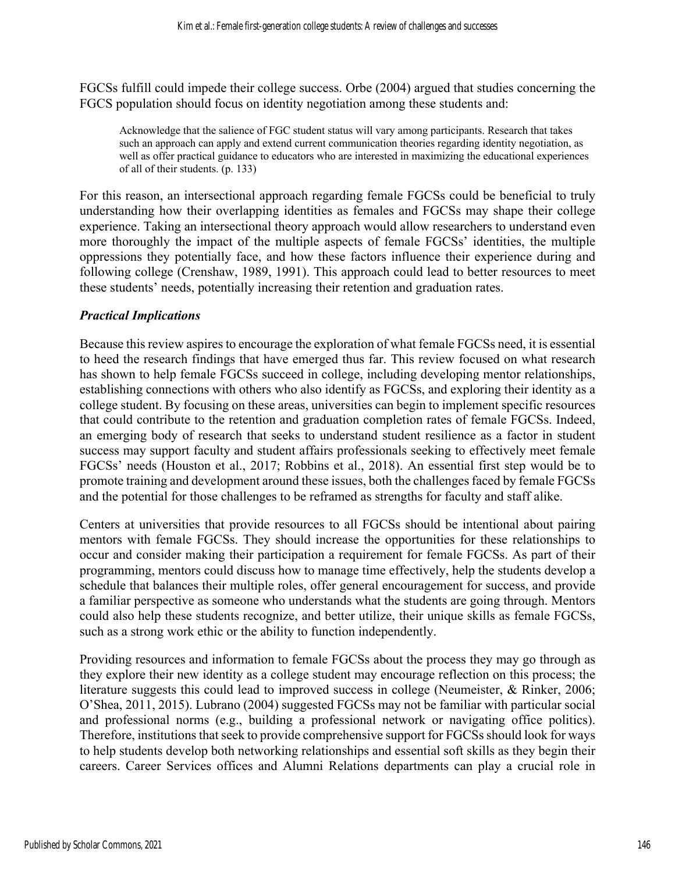FGCSs fulfill could impede their college success. Orbe (2004) argued that studies concerning the FGCS population should focus on identity negotiation among these students and:

Acknowledge that the salience of FGC student status will vary among participants. Research that takes such an approach can apply and extend current communication theories regarding identity negotiation, as well as offer practical guidance to educators who are interested in maximizing the educational experiences of all of their students. (p. 133)

For this reason, an intersectional approach regarding female FGCSs could be beneficial to truly understanding how their overlapping identities as females and FGCSs may shape their college experience. Taking an intersectional theory approach would allow researchers to understand even more thoroughly the impact of the multiple aspects of female FGCSs' identities, the multiple oppressions they potentially face, and how these factors influence their experience during and following college (Crenshaw, 1989, 1991). This approach could lead to better resources to meet these students' needs, potentially increasing their retention and graduation rates.

#### *Practical Implications*

Because this review aspires to encourage the exploration of what female FGCSs need, it is essential to heed the research findings that have emerged thus far. This review focused on what research has shown to help female FGCSs succeed in college, including developing mentor relationships, establishing connections with others who also identify as FGCSs, and exploring their identity as a college student. By focusing on these areas, universities can begin to implement specific resources that could contribute to the retention and graduation completion rates of female FGCSs. Indeed, an emerging body of research that seeks to understand student resilience as a factor in student success may support faculty and student affairs professionals seeking to effectively meet female FGCSs' needs (Houston et al., 2017; Robbins et al., 2018). An essential first step would be to promote training and development around these issues, both the challenges faced by female FGCSs and the potential for those challenges to be reframed as strengths for faculty and staff alike.

Centers at universities that provide resources to all FGCSs should be intentional about pairing mentors with female FGCSs. They should increase the opportunities for these relationships to occur and consider making their participation a requirement for female FGCSs. As part of their programming, mentors could discuss how to manage time effectively, help the students develop a schedule that balances their multiple roles, offer general encouragement for success, and provide a familiar perspective as someone who understands what the students are going through. Mentors could also help these students recognize, and better utilize, their unique skills as female FGCSs, such as a strong work ethic or the ability to function independently.

Providing resources and information to female FGCSs about the process they may go through as they explore their new identity as a college student may encourage reflection on this process; the literature suggests this could lead to improved success in college (Neumeister, & Rinker, 2006; O'Shea, 2011, 2015). Lubrano (2004) suggested FGCSs may not be familiar with particular social and professional norms (e.g., building a professional network or navigating office politics). Therefore, institutions that seek to provide comprehensive support for FGCSs should look for ways to help students develop both networking relationships and essential soft skills as they begin their careers. Career Services offices and Alumni Relations departments can play a crucial role in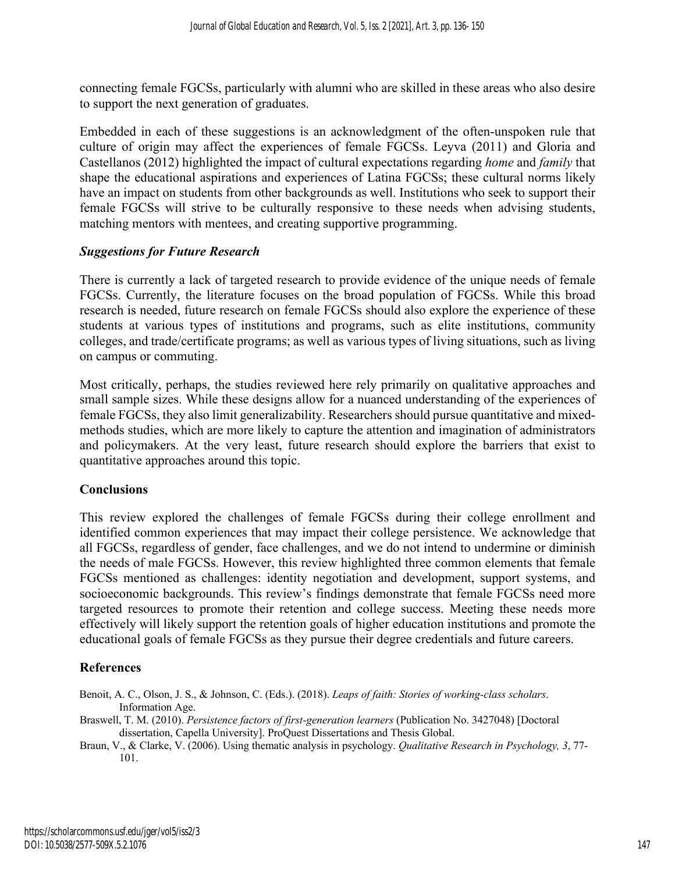connecting female FGCSs, particularly with alumni who are skilled in these areas who also desire to support the next generation of graduates.

Embedded in each of these suggestions is an acknowledgment of the often-unspoken rule that culture of origin may affect the experiences of female FGCSs. Leyva (2011) and Gloria and Castellanos (2012) highlighted the impact of cultural expectations regarding *home* and *family* that shape the educational aspirations and experiences of Latina FGCSs; these cultural norms likely have an impact on students from other backgrounds as well. Institutions who seek to support their female FGCSs will strive to be culturally responsive to these needs when advising students, matching mentors with mentees, and creating supportive programming.

#### *Suggestions for Future Research*

There is currently a lack of targeted research to provide evidence of the unique needs of female FGCSs. Currently, the literature focuses on the broad population of FGCSs. While this broad research is needed, future research on female FGCSs should also explore the experience of these students at various types of institutions and programs, such as elite institutions, community colleges, and trade/certificate programs; as well as various types of living situations, such as living on campus or commuting.

Most critically, perhaps, the studies reviewed here rely primarily on qualitative approaches and small sample sizes. While these designs allow for a nuanced understanding of the experiences of female FGCSs, they also limit generalizability. Researchers should pursue quantitative and mixedmethods studies, which are more likely to capture the attention and imagination of administrators and policymakers. At the very least, future research should explore the barriers that exist to quantitative approaches around this topic.

#### **Conclusions**

This review explored the challenges of female FGCSs during their college enrollment and identified common experiences that may impact their college persistence. We acknowledge that all FGCSs, regardless of gender, face challenges, and we do not intend to undermine or diminish the needs of male FGCSs. However, this review highlighted three common elements that female FGCSs mentioned as challenges: identity negotiation and development, support systems, and socioeconomic backgrounds. This review's findings demonstrate that female FGCSs need more targeted resources to promote their retention and college success. Meeting these needs more effectively will likely support the retention goals of higher education institutions and promote the educational goals of female FGCSs as they pursue their degree credentials and future careers.

#### **References**

- Benoit, A. C., Olson, J. S., & Johnson, C. (Eds.). (2018). *Leaps of faith: Stories of working-class scholars*. Information Age.
- Braswell, T. M. (2010). *Persistence factors of first-generation learners* (Publication No. 3427048) [Doctoral dissertation, Capella University]. ProQuest Dissertations and Thesis Global.

Braun, V., & Clarke, V. (2006). Using thematic analysis in psychology. *Qualitative Research in Psychology, 3*, 77- 101.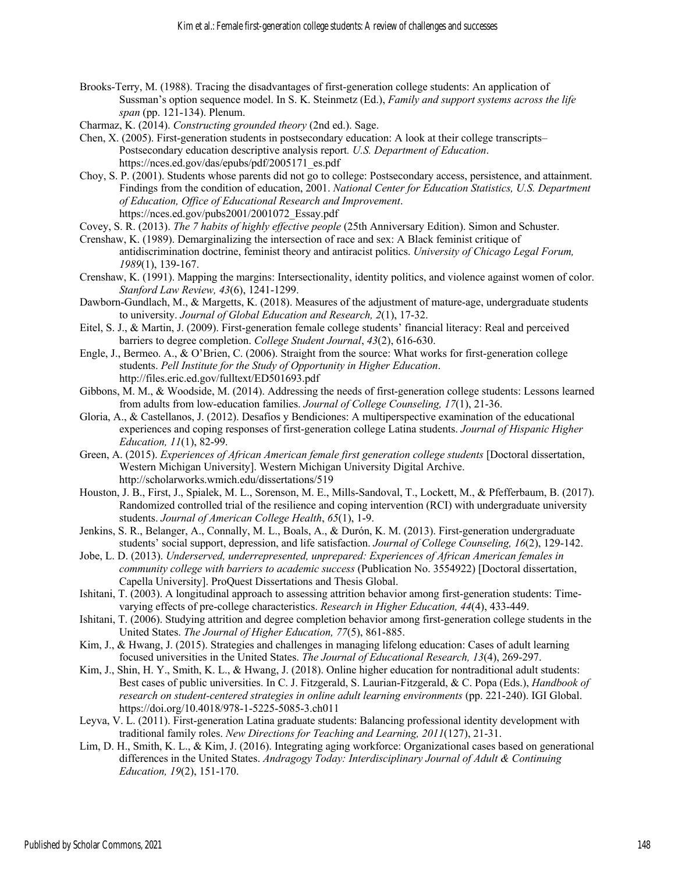- Brooks-Terry, M. (1988). Tracing the disadvantages of first-generation college students: An application of Sussman's option sequence model. In S. K. Steinmetz (Ed.), *Family and support systems across the life span* (pp. 121-134). Plenum.
- Charmaz, K. (2014). *Constructing grounded theory* (2nd ed.). Sage.
- Chen, X. (2005). First-generation students in postsecondary education: A look at their college transcripts– Postsecondary education descriptive analysis report*. U.S. Department of Education*. https://nces.ed.gov/das/epubs/pdf/2005171\_es.pdf
- Choy, S. P. (2001). Students whose parents did not go to college: Postsecondary access, persistence, and attainment. Findings from the condition of education, 2001. *National Center for Education Statistics, U.S. Department of Education, Office of Educational Research and Improvement*. https://nces.ed.gov/pubs2001/2001072\_Essay.pdf
- Covey, S. R. (2013). *The 7 habits of highly effective people* (25th Anniversary Edition). Simon and Schuster.
- Crenshaw, K. (1989). Demarginalizing the intersection of race and sex: A Black feminist critique of antidiscrimination doctrine, feminist theory and antiracist politics. *University of Chicago Legal Forum, 1989*(1), 139-167.
- Crenshaw, K. (1991). Mapping the margins: Intersectionality, identity politics, and violence against women of color. *Stanford Law Review, 43*(6), 1241-1299.
- Dawborn-Gundlach, M., & Margetts, K. (2018). Measures of the adjustment of mature-age, undergraduate students to university. *Journal of Global Education and Research, 2*(1), 17-32.
- Eitel, S. J., & Martin, J. (2009). First-generation female college students' financial literacy: Real and perceived barriers to degree completion. *College Student Journal*, *43*(2), 616-630.
- Engle, J., Bermeo. A., & O'Brien, C. (2006). Straight from the source: What works for first-generation college students. *Pell Institute for the Study of Opportunity in Higher Education*. http://files.eric.ed.gov/fulltext/ED501693.pdf
- Gibbons, M. M., & Woodside, M. (2014). Addressing the needs of first-generation college students: Lessons learned from adults from low-education families. *Journal of College Counseling, 17*(1), 21-36.
- Gloria, A., & Castellanos, J. (2012). Desafíos y Bendiciones: A multiperspective examination of the educational experiences and coping responses of first-generation college Latina students. *Journal of Hispanic Higher Education, 11*(1), 82-99.
- Green, A. (2015). *Experiences of African American female first generation college students* [Doctoral dissertation, Western Michigan University]. Western Michigan University Digital Archive. http://scholarworks.wmich.edu/dissertations/519
- Houston, J. B., First, J., Spialek, M. L., Sorenson, M. E., Mills-Sandoval, T., Lockett, M., & Pfefferbaum, B. (2017). Randomized controlled trial of the resilience and coping intervention (RCI) with undergraduate university students. *Journal of American College Health*, *65*(1), 1-9.
- Jenkins, S. R., Belanger, A., Connally, M. L., Boals, A., & Durón, K. M. (2013). First-generation undergraduate students' social support, depression, and life satisfaction. *Journal of College Counseling, 16*(2), 129-142.
- Jobe, L. D. (2013). *Underserved, underrepresented, unprepared: Experiences of African American females in community college with barriers to academic success* (Publication No. 3554922) [Doctoral dissertation, Capella University]. ProQuest Dissertations and Thesis Global.
- Ishitani, T. (2003). A longitudinal approach to assessing attrition behavior among first-generation students: Timevarying effects of pre-college characteristics. *Research in Higher Education, 44*(4), 433-449.
- Ishitani, T. (2006). Studying attrition and degree completion behavior among first-generation college students in the United States. *The Journal of Higher Education, 77*(5), 861-885.
- Kim, J., & Hwang, J. (2015). Strategies and challenges in managing lifelong education: Cases of adult learning focused universities in the United States. *The Journal of Educational Research, 13*(4), 269-297.
- Kim, J., Shin, H. Y., Smith, K. L., & Hwang, J. (2018). Online higher education for nontraditional adult students: Best cases of public universities. In C. J. Fitzgerald, S. Laurian-Fitzgerald, & C. Popa (Eds.), *Handbook of research on student-centered strategies in online adult learning environments* (pp. 221-240). IGI Global. https://doi.org/10.4018/978-1-5225-5085-3.ch011
- Leyva, V. L. (2011). First-generation Latina graduate students: Balancing professional identity development with traditional family roles. *New Directions for Teaching and Learning, 2011*(127), 21-31.
- Lim, D. H., Smith, K. L., & Kim, J. (2016). Integrating aging workforce: Organizational cases based on generational differences in the United States. *Andragogy Today: Interdisciplinary Journal of Adult & Continuing Education, 19*(2), 151-170.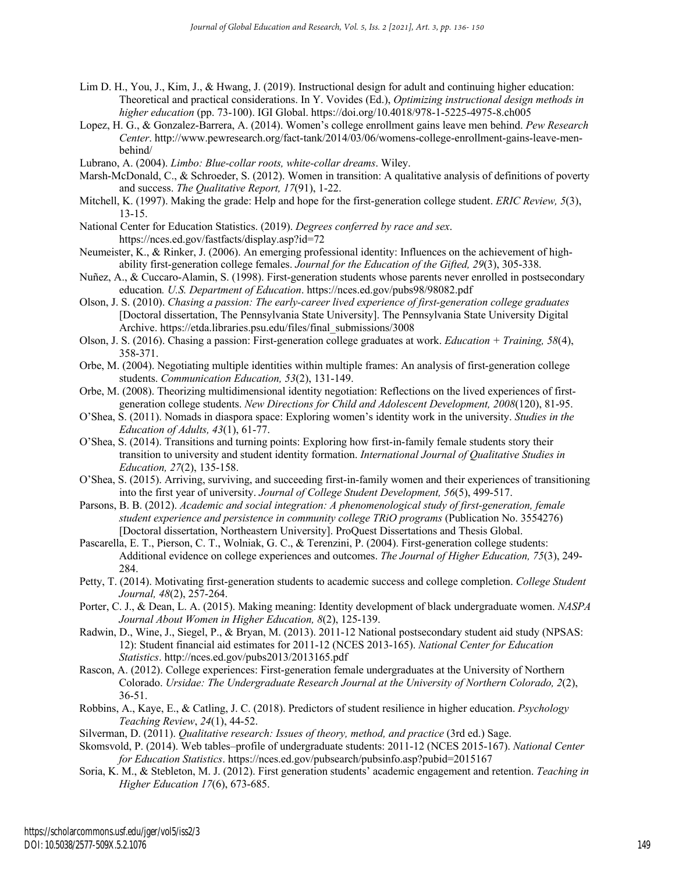- Lim D. H., You, J., Kim, J., & Hwang, J. (2019). Instructional design for adult and continuing higher education: Theoretical and practical considerations. In Y. Vovides (Ed.), *Optimizing instructional design methods in higher education* (pp. 73-100). IGI Global. https://doi.org/10.4018/978-1-5225-4975-8.ch005
- Lopez, H. G., & Gonzalez-Barrera, A. (2014). Women's college enrollment gains leave men behind. *Pew Research Center*. http://www.pewresearch.org/fact-tank/2014/03/06/womens-college-enrollment-gains-leave-menbehind/
- Lubrano, A. (2004). *Limbo: Blue-collar roots, white-collar dreams*. Wiley.
- Marsh-McDonald, C., & Schroeder, S. (2012). Women in transition: A qualitative analysis of definitions of poverty and success. *The Qualitative Report, 17*(91), 1-22.
- Mitchell, K. (1997). Making the grade: Help and hope for the first-generation college student. *ERIC Review, 5*(3), 13-15.
- National Center for Education Statistics. (2019). *Degrees conferred by race and sex*. https://nces.ed.gov/fastfacts/display.asp?id=72
- Neumeister, K., & Rinker, J. (2006). An emerging professional identity: Influences on the achievement of highability first-generation college females. *Journal for the Education of the Gifted, 29*(3), 305-338.
- Nuñez, A., & Cuccaro-Alamin, S. (1998). First-generation students whose parents never enrolled in postsecondary education*. U.S. Department of Education*. https://nces.ed.gov/pubs98/98082.pdf
- Olson, J. S. (2010). *Chasing a passion: The early-career lived experience of first-generation college graduates* [Doctoral dissertation, The Pennsylvania State University]. The Pennsylvania State University Digital Archive. https://etda.libraries.psu.edu/files/final\_submissions/3008
- Olson, J. S. (2016). Chasing a passion: First-generation college graduates at work. *Education + Training, 58*(4), 358-371.
- Orbe, M. (2004). Negotiating multiple identities within multiple frames: An analysis of first-generation college students. *Communication Education, 53*(2), 131-149.
- Orbe, M. (2008). Theorizing multidimensional identity negotiation: Reflections on the lived experiences of firstgeneration college students. *New Directions for Child and Adolescent Development, 2008*(120), 81-95.
- O'Shea, S. (2011). Nomads in diaspora space: Exploring women's identity work in the university. *Studies in the Education of Adults, 43*(1), 61-77.
- O'Shea, S. (2014). Transitions and turning points: Exploring how first-in-family female students story their transition to university and student identity formation. *International Journal of Qualitative Studies in Education, 27*(2), 135-158.
- O'Shea, S. (2015). Arriving, surviving, and succeeding first-in-family women and their experiences of transitioning into the first year of university. *Journal of College Student Development, 56*(5), 499-517.
- Parsons, B. B. (2012). *Academic and social integration: A phenomenological study of first-generation, female student experience and persistence in community college TRiO programs (Publication No. 3554276)* [Doctoral dissertation, Northeastern University]. ProQuest Dissertations and Thesis Global.
- Pascarella, E. T., Pierson, C. T., Wolniak, G. C., & Terenzini, P. (2004). First-generation college students: Additional evidence on college experiences and outcomes. *The Journal of Higher Education, 75*(3), 249- 284.
- Petty, T. (2014). Motivating first-generation students to academic success and college completion. *College Student Journal, 48*(2), 257-264.
- Porter, C. J., & Dean, L. A. (2015). Making meaning: Identity development of black undergraduate women. *NASPA Journal About Women in Higher Education, 8*(2), 125-139.
- Radwin, D., Wine, J., Siegel, P., & Bryan, M. (2013). 2011-12 National postsecondary student aid study (NPSAS: 12): Student financial aid estimates for 2011-12 (NCES 2013-165). *National Center for Education Statistics*. http://nces.ed.gov/pubs2013/2013165.pdf
- Rascon, A. (2012). College experiences: First-generation female undergraduates at the University of Northern Colorado. *Ursidae: The Undergraduate Research Journal at the University of Northern Colorado, 2*(2), 36-51.
- Robbins, A., Kaye, E., & Catling, J. C. (2018). Predictors of student resilience in higher education. *Psychology Teaching Review*, *24*(1), 44-52.
- Silverman, D. (2011). *Qualitative research: Issues of theory, method, and practice* (3rd ed.) Sage.
- Skomsvold, P. (2014). Web tables–profile of undergraduate students: 2011-12 (NCES 2015-167). *National Center for Education Statistics*. https://nces.ed.gov/pubsearch/pubsinfo.asp?pubid=2015167
- Soria, K. M., & Stebleton, M. J. (2012). First generation students' academic engagement and retention. *Teaching in Higher Education 17*(6), 673-685.